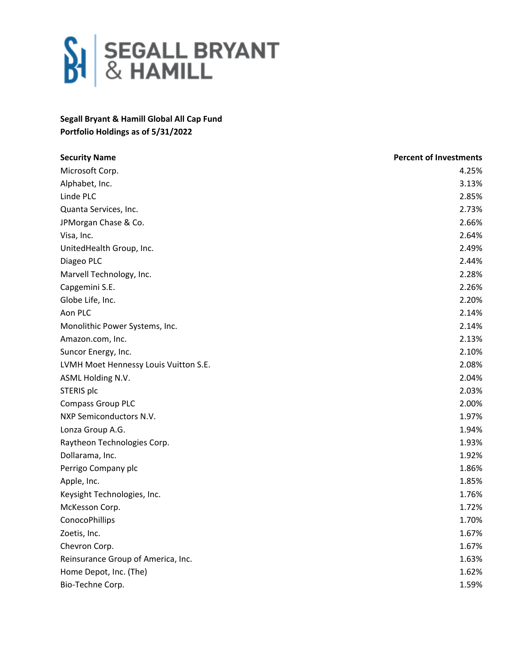

## **Segall Bryant & Hamill Global All Cap Fund Portfolio Holdings as of 5/31/2022**

| <b>Security Name</b>                  | <b>Percent of Investments</b> |
|---------------------------------------|-------------------------------|
| Microsoft Corp.                       | 4.25%                         |
| Alphabet, Inc.                        | 3.13%                         |
| Linde PLC                             | 2.85%                         |
| Quanta Services, Inc.                 | 2.73%                         |
| JPMorgan Chase & Co.                  | 2.66%                         |
| Visa, Inc.                            | 2.64%                         |
| UnitedHealth Group, Inc.              | 2.49%                         |
| Diageo PLC                            | 2.44%                         |
| Marvell Technology, Inc.              | 2.28%                         |
| Capgemini S.E.                        | 2.26%                         |
| Globe Life, Inc.                      | 2.20%                         |
| Aon PLC                               | 2.14%                         |
| Monolithic Power Systems, Inc.        | 2.14%                         |
| Amazon.com, Inc.                      | 2.13%                         |
| Suncor Energy, Inc.                   | 2.10%                         |
| LVMH Moet Hennessy Louis Vuitton S.E. | 2.08%                         |
| ASML Holding N.V.                     | 2.04%                         |
| STERIS plc                            | 2.03%                         |
| <b>Compass Group PLC</b>              | 2.00%                         |
| NXP Semiconductors N.V.               | 1.97%                         |
| Lonza Group A.G.                      | 1.94%                         |
| Raytheon Technologies Corp.           | 1.93%                         |
| Dollarama, Inc.                       | 1.92%                         |
| Perrigo Company plc                   | 1.86%                         |
| Apple, Inc.                           | 1.85%                         |
| Keysight Technologies, Inc.           | 1.76%                         |
| McKesson Corp.                        | 1.72%                         |
| <b>ConocoPhillips</b>                 | 1.70%                         |
| Zoetis, Inc.                          | 1.67%                         |
| Chevron Corp.                         | 1.67%                         |
| Reinsurance Group of America, Inc.    | 1.63%                         |
| Home Depot, Inc. (The)                | 1.62%                         |
| Bio-Techne Corp.                      | 1.59%                         |